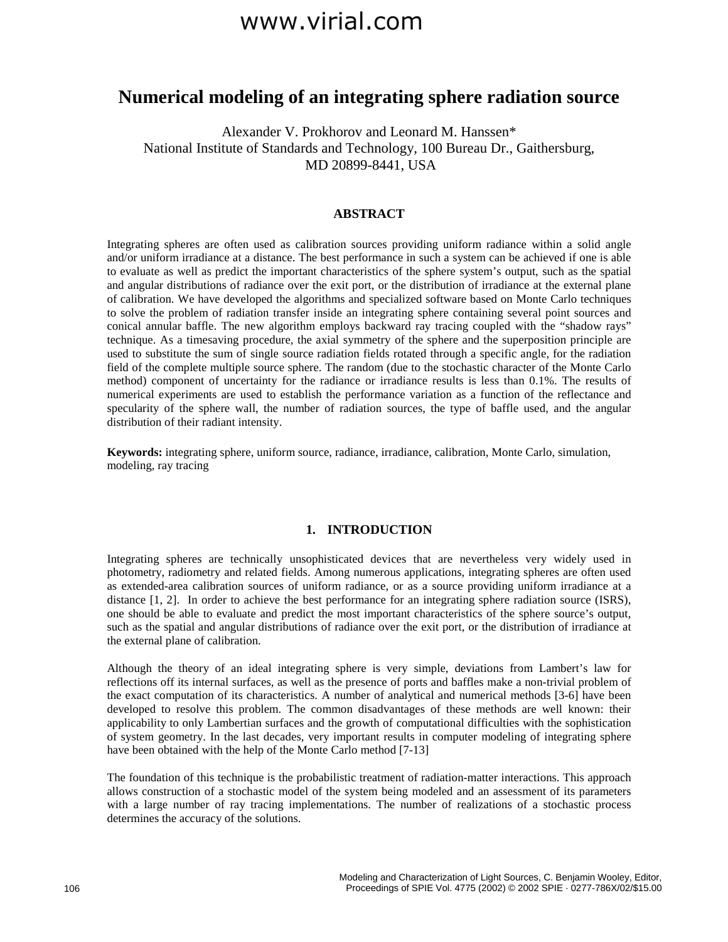## **Numerical modeling of an integrating sphere radiation source**

Alexander V. Prokhorov and Leonard M. Hanssen\* National Institute of Standards and Technology, 100 Bureau Dr., Gaithersburg, MD 20899-8441, USA

#### **ABSTRACT**

Integrating spheres are often used as calibration sources providing uniform radiance within a solid angle and/or uniform irradiance at a distance. The best performance in such a system can be achieved if one is able to evaluate as well as predict the important characteristics of the sphere system's output, such as the spatial and angular distributions of radiance over the exit port, or the distribution of irradiance at the external plane of calibration. We have developed the algorithms and specialized software based on Monte Carlo techniques to solve the problem of radiation transfer inside an integrating sphere containing several point sources and conical annular baffle. The new algorithm employs backward ray tracing coupled with the "shadow rays" technique. As a timesaving procedure, the axial symmetry of the sphere and the superposition principle are used to substitute the sum of single source radiation fields rotated through a specific angle, for the radiation field of the complete multiple source sphere. The random (due to the stochastic character of the Monte Carlo method) component of uncertainty for the radiance or irradiance results is less than 0.1%. The results of numerical experiments are used to establish the performance variation as a function of the reflectance and specularity of the sphere wall, the number of radiation sources, the type of baffle used, and the angular distribution of their radiant intensity.

**Keywords:** integrating sphere, uniform source, radiance, irradiance, calibration, Monte Carlo, simulation, modeling, ray tracing

### **1. INTRODUCTION**

Integrating spheres are technically unsophisticated devices that are nevertheless very widely used in photometry, radiometry and related fields. Among numerous applications, integrating spheres are often used as extended-area calibration sources of uniform radiance, or as a source providing uniform irradiance at a distance [1, 2]. In order to achieve the best performance for an integrating sphere radiation source (ISRS), one should be able to evaluate and predict the most important characteristics of the sphere source's output, such as the spatial and angular distributions of radiance over the exit port, or the distribution of irradiance at the external plane of calibration.

Although the theory of an ideal integrating sphere is very simple, deviations from Lambert's law for reflections off its internal surfaces, as well as the presence of ports and baffles make a non-trivial problem of the exact computation of its characteristics. A number of analytical and numerical methods [3-6] have been developed to resolve this problem. The common disadvantages of these methods are well known: their applicability to only Lambertian surfaces and the growth of computational difficulties with the sophistication of system geometry. In the last decades, very important results in computer modeling of integrating sphere have been obtained with the help of the Monte Carlo method [7-13]

The foundation of this technique is the probabilistic treatment of radiation-matter interactions. This approach allows construction of a stochastic model of the system being modeled and an assessment of its parameters with a large number of ray tracing implementations. The number of realizations of a stochastic process determines the accuracy of the solutions.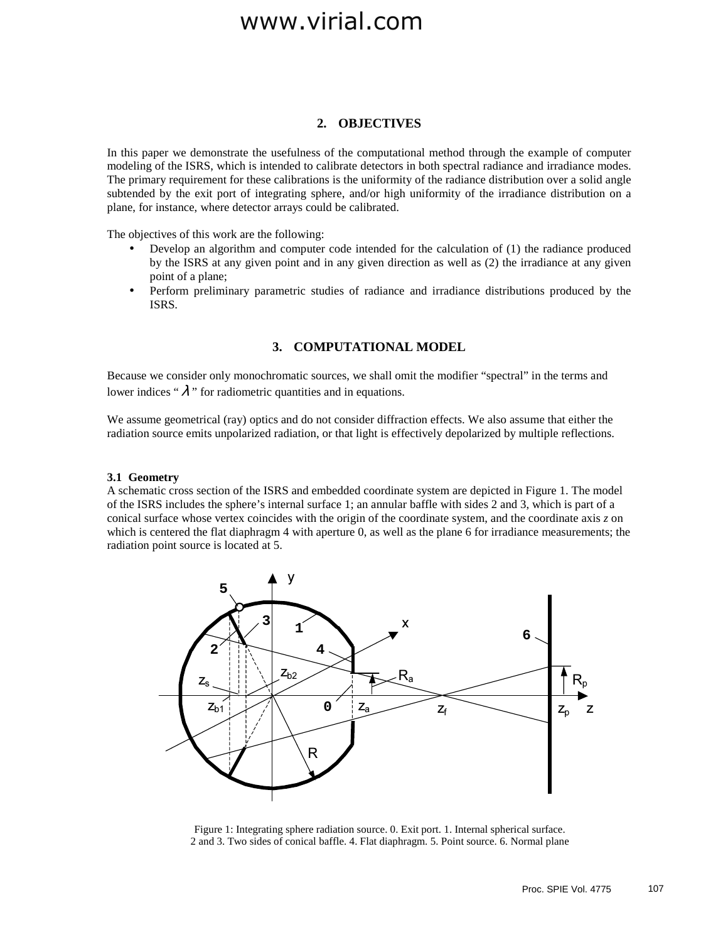#### **2. OBJECTIVES**

In this paper we demonstrate the usefulness of the computational method through the example of computer modeling of the ISRS, which is intended to calibrate detectors in both spectral radiance and irradiance modes. The primary requirement for these calibrations is the uniformity of the radiance distribution over a solid angle subtended by the exit port of integrating sphere, and/or high uniformity of the irradiance distribution on a plane, for instance, where detector arrays could be calibrated.

The objectives of this work are the following:

- Develop an algorithm and computer code intended for the calculation of (1) the radiance produced by the ISRS at any given point and in any given direction as well as (2) the irradiance at any given point of a plane;
- Perform preliminary parametric studies of radiance and irradiance distributions produced by the ISRS.

### **3. COMPUTATIONAL MODEL**

Because we consider only monochromatic sources, we shall omit the modifier "spectral" in the terms and lower indices " $\lambda$ " for radiometric quantities and in equations.

We assume geometrical (ray) optics and do not consider diffraction effects. We also assume that either the radiation source emits unpolarized radiation, or that light is effectively depolarized by multiple reflections.

#### **3.1 Geometry**

A schematic cross section of the ISRS and embedded coordinate system are depicted in Figure 1. The model of the ISRS includes the sphere's internal surface 1; an annular baffle with sides 2 and 3, which is part of a conical surface whose vertex coincides with the origin of the coordinate system, and the coordinate axis *z* on which is centered the flat diaphragm 4 with aperture 0, as well as the plane 6 for irradiance measurements; the radiation point source is located at 5.



Figure 1: Integrating sphere radiation source. 0. Exit port. 1. Internal spherical surface. 2 and 3. Two sides of conical baffle. 4. Flat diaphragm. 5. Point source. 6. Normal plane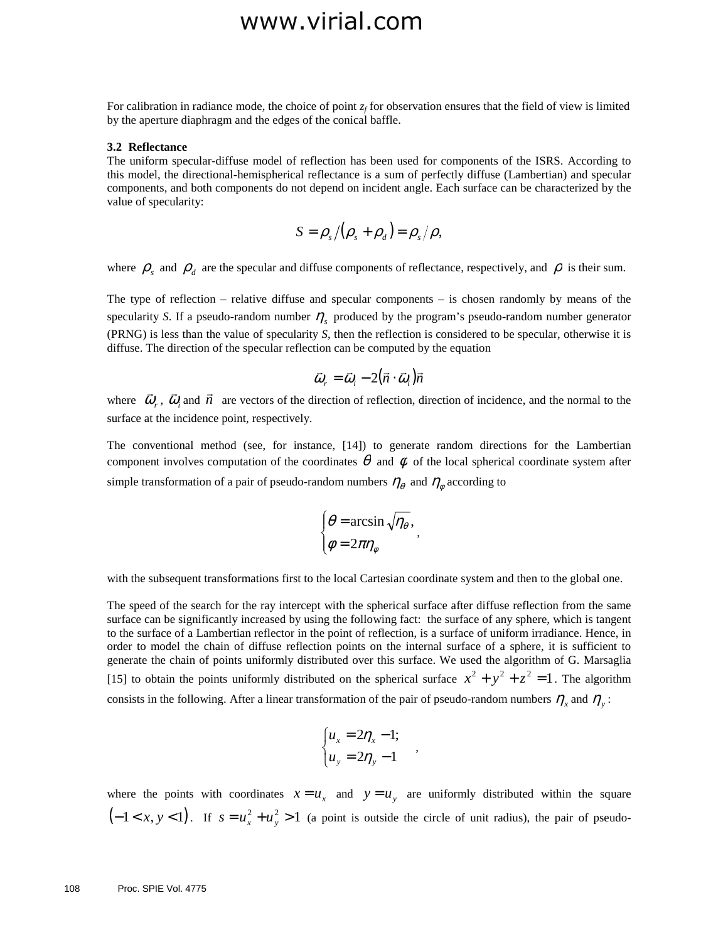For calibration in radiance mode, the choice of point  $z_f$  for observation ensures that the field of view is limited by the aperture diaphragm and the edges of the conical baffle.

#### **3.2 Reflectance**

The uniform specular-diffuse model of reflection has been used for components of the ISRS. According to this model, the directional-hemispherical reflectance is a sum of perfectly diffuse (Lambertian) and specular components, and both components do not depend on incident angle. Each surface can be characterized by the value of specularity:

$$
S=\rho_s/(\rho_s+\rho_d)=\rho_s/\rho,
$$

where  $\rho_s$  and  $\rho_d$  are the specular and diffuse components of reflectance, respectively, and  $\rho$  is their sum.

The type of reflection – relative diffuse and specular components – is chosen randomly by means of the specularity *S*. If a pseudo-random number  $\eta$ <sub>*c*</sub> produced by the program's pseudo-random number generator (PRNG) is less than the value of specularity *S*, then the reflection is considered to be specular, otherwise it is diffuse. The direction of the specular reflection can be computed by the equation

$$
\vec{\omega}_r = \vec{\omega}_i - 2(\vec{n} \cdot \vec{\omega}_i)\vec{n}
$$

where  $\vec{\omega}_r$ ,  $\vec{\omega}_i$  and  $\vec{n}$  are vectors of the direction of reflection, direction of incidence, and the normal to the surface at the incidence point, respectively.

The conventional method (see, for instance, [14]) to generate random directions for the Lambertian component involves computation of the coordinates  $\theta$  and  $\phi$  of the local spherical coordinate system after simple transformation of a pair of pseudo-random numbers  $\eta_{\theta}$  and  $\eta_{\phi}$  according to

$$
\begin{cases}\n\theta = \arcsin \sqrt{\eta_{\theta}}, \\
\phi = 2\pi \eta_{\phi}\n\end{cases}
$$

with the subsequent transformations first to the local Cartesian coordinate system and then to the global one.

The speed of the search for the ray intercept with the spherical surface after diffuse reflection from the same surface can be significantly increased by using the following fact: the surface of any sphere, which is tangent to the surface of a Lambertian reflector in the point of reflection, is a surface of uniform irradiance. Hence, in order to model the chain of diffuse reflection points on the internal surface of a sphere, it is sufficient to generate the chain of points uniformly distributed over this surface. We used the algorithm of G. Marsaglia [15] to obtain the points uniformly distributed on the spherical surface  $x^2 + y^2 + z^2 = 1$ . The algorithm consists in the following. After a linear transformation of the pair of pseudo-random numbers  $\eta_x$  and  $\eta_y$ :

$$
\begin{cases} u_x = 2\eta_x - 1; \\ u_y = 2\eta_y - 1 \end{cases}
$$

where the points with coordinates  $x = u_x$  and  $y = u_y$  are uniformly distributed within the square  $(-1 < x, y < 1)$ . If  $s = u_x^2 + u_y^2 > 1$  (a point is outside the circle of unit radius), the pair of pseudo-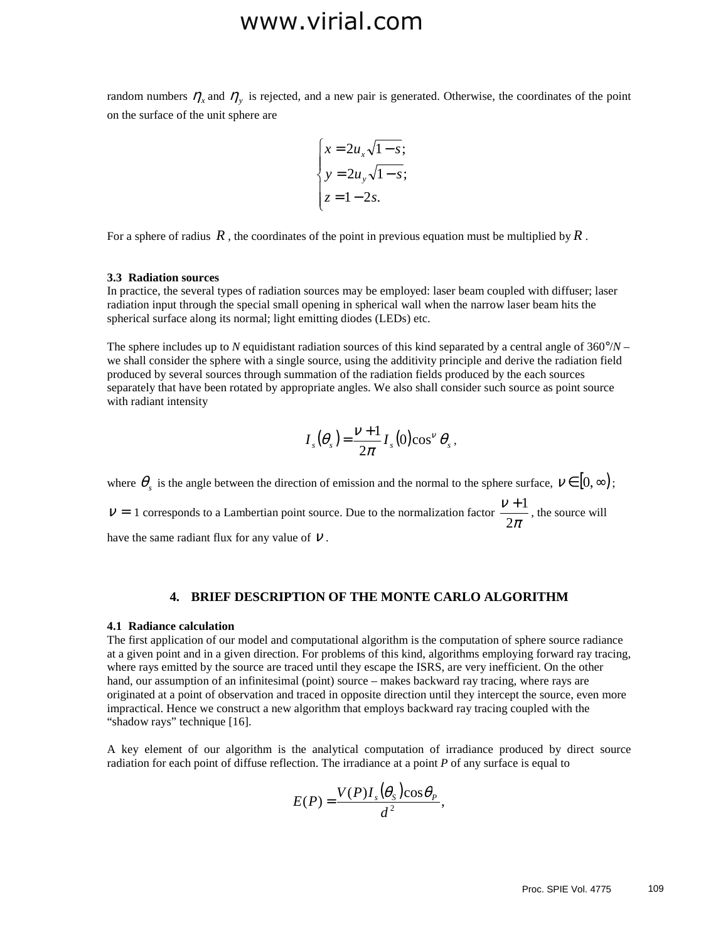random numbers  $\eta_x$  and  $\eta_y$  is rejected, and a new pair is generated. Otherwise, the coordinates of the point on the surface of the unit sphere are

$$
\begin{cases}\nx = 2u_x\sqrt{1-s}; \\
y = 2u_y\sqrt{1-s}; \\
z = 1-2s.\n\end{cases}
$$

For a sphere of radius  $R$ , the coordinates of the point in previous equation must be multiplied by  $R$ .

#### **3.3 Radiation sources**

In practice, the several types of radiation sources may be employed: laser beam coupled with diffuser; laser radiation input through the special small opening in spherical wall when the narrow laser beam hits the spherical surface along its normal; light emitting diodes (LEDs) etc.

The sphere includes up to *N* equidistant radiation sources of this kind separated by a central angle of 360°/*N* – we shall consider the sphere with a single source, using the additivity principle and derive the radiation field produced by several sources through summation of the radiation fields produced by the each sources separately that have been rotated by appropriate angles. We also shall consider such source as point source with radiant intensity

$$
I_{s}(\theta_{s})=\frac{v+1}{2\pi}I_{s}(0)\cos^{v}\theta_{s},
$$

where  $\theta_s$  is the angle between the direction of emission and the normal to the sphere surface,  $v \in [0, \infty)$ ;

 $v = 1$  corresponds to a Lambertian point source. Due to the normalization factor  $\frac{v - 1}{2\pi}$ ν 2  $+1$ , the source will

have the same radiant flux for any value of  $V$ .

#### **4. BRIEF DESCRIPTION OF THE MONTE CARLO ALGORITHM**

#### **4.1 Radiance calculation**

The first application of our model and computational algorithm is the computation of sphere source radiance at a given point and in a given direction. For problems of this kind, algorithms employing forward ray tracing, where rays emitted by the source are traced until they escape the ISRS, are very inefficient. On the other hand, our assumption of an infinitesimal (point) source – makes backward ray tracing, where rays are originated at a point of observation and traced in opposite direction until they intercept the source, even more impractical. Hence we construct a new algorithm that employs backward ray tracing coupled with the "shadow rays" technique [16].

A key element of our algorithm is the analytical computation of irradiance produced by direct source radiation for each point of diffuse reflection. The irradiance at a point *P* of any surface is equal to

$$
E(P) = \frac{V(P)I_s(\theta_S)\cos\theta_P}{d^2},
$$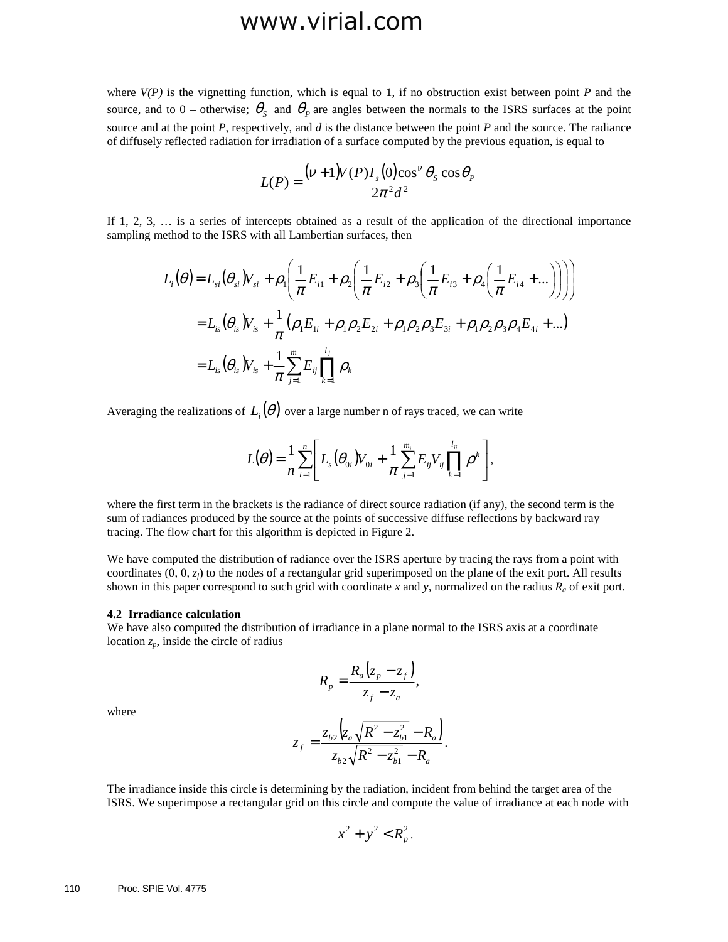where  $V(P)$  is the vignetting function, which is equal to 1, if no obstruction exist between point  $P$  and the source, and to 0 – otherwise;  $\theta_s$  and  $\theta_p$  are angles between the normals to the ISRS surfaces at the point source and at the point *P*, respectively, and *d* is the distance between the point *P* and the source. The radiance of diffusely reflected radiation for irradiation of a surface computed by the previous equation, is equal to

$$
L(P) = \frac{(\nu + 1)V(P)I_s(0)\cos^{\nu}\theta_s\cos\theta_p}{2\pi^2d^2}
$$

If 1, 2, 3, … is a series of intercepts obtained as a result of the application of the directional importance sampling method to the ISRS with all Lambertian surfaces, then

$$
L_i(\theta) = L_{si}(\theta_{si})V_{si} + \rho_1 \left( \frac{1}{\pi} E_{i1} + \rho_2 \left( \frac{1}{\pi} E_{i2} + \rho_3 \left( \frac{1}{\pi} E_{i3} + \rho_4 \left( \frac{1}{\pi} E_{i4} + ... \right) \right) \right) \right)
$$
  
=  $L_{is}(\theta_{is})V_{is} + \frac{1}{\pi} (\rho_1 E_{1i} + \rho_1 \rho_2 E_{2i} + \rho_1 \rho_2 \rho_3 E_{3i} + \rho_1 \rho_2 \rho_3 \rho_4 E_{4i} + ...)$   
=  $L_{is}(\theta_{is})V_{is} + \frac{1}{\pi} \sum_{j=1}^{m} E_{ij} \prod_{k=1}^{l_j} \rho_k$ 

Averaging the realizations of  $L_i(\theta)$  over a large number n of rays traced, we can write

$$
L(\theta) = \frac{1}{n} \sum_{i=1}^{n} \left[ L_{s}(\theta_{0i}) V_{0i} + \frac{1}{\pi} \sum_{j=1}^{m_{i}} E_{ij} V_{ij} \prod_{k=1}^{l_{ij}} \rho^{k} \right],
$$

where the first term in the brackets is the radiance of direct source radiation (if any), the second term is the sum of radiances produced by the source at the points of successive diffuse reflections by backward ray tracing. The flow chart for this algorithm is depicted in Figure 2.

We have computed the distribution of radiance over the ISRS aperture by tracing the rays from a point with coordinates  $(0, 0, z_f)$  to the nodes of a rectangular grid superimposed on the plane of the exit port. All results shown in this paper correspond to such grid with coordinate  $x$  and  $y$ , normalized on the radius  $R_a$  of exit port.

#### **4.2 Irradiance calculation**

We have also computed the distribution of irradiance in a plane normal to the ISRS axis at a coordinate location  $z_p$ , inside the circle of radius

$$
R_p = \frac{R_a(z_p - z_f)}{z_f - z_a},
$$

where

$$
z_f = \frac{z_{b2} \left(z_a \sqrt{R^2 - z_{b1}^2} - R_a\right)}{z_{b2} \sqrt{R^2 - z_{b1}^2} - R_a}.
$$

The irradiance inside this circle is determining by the radiation, incident from behind the target area of the ISRS. We superimpose a rectangular grid on this circle and compute the value of irradiance at each node with

$$
x^2 + y^2 < R_p^2
$$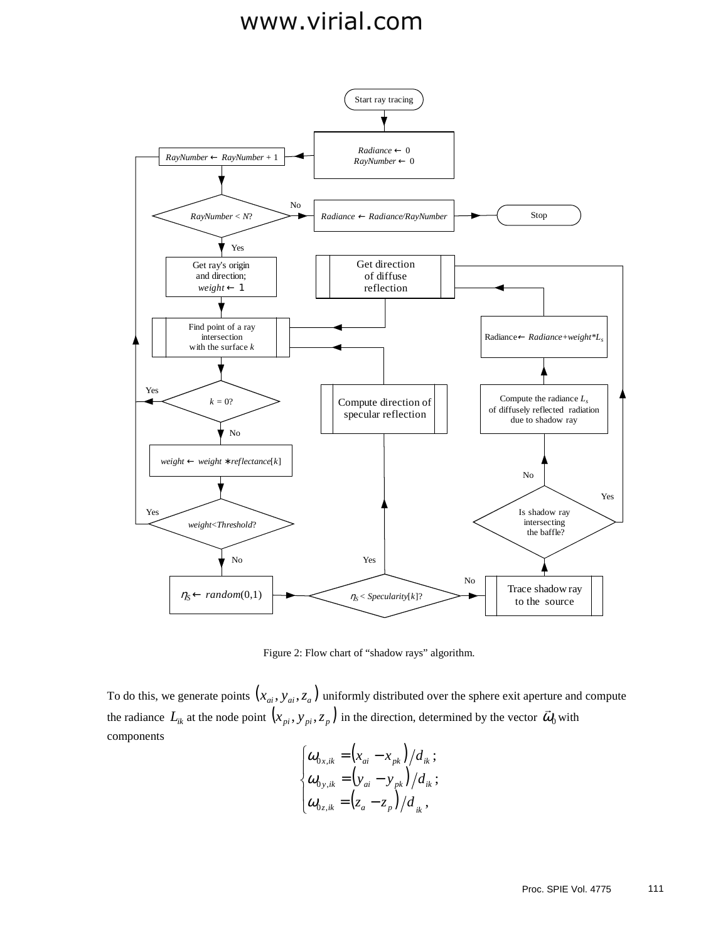

Figure 2: Flow chart of "shadow rays" algorithm.

To do this, we generate points  $(x_{ai}, y_{ai}, z_a)$  uniformly distributed over the sphere exit aperture and compute the radiance  $L_{ik}$  at the node point  $(x_{pi}, y_{pi}, z_{pi})$  in the direction, determined by the vector  $\vec{\omega}_0$  with components

$$
\begin{cases}\n\omega_{0x,ik} = (x_{ai} - x_{pk})/d_{ik}; \\
\omega_{0y,ik} = (y_{ai} - y_{pk})/d_{ik}; \\
\omega_{0z,ik} = (z_a - z_p)/d_{ik},\n\end{cases}
$$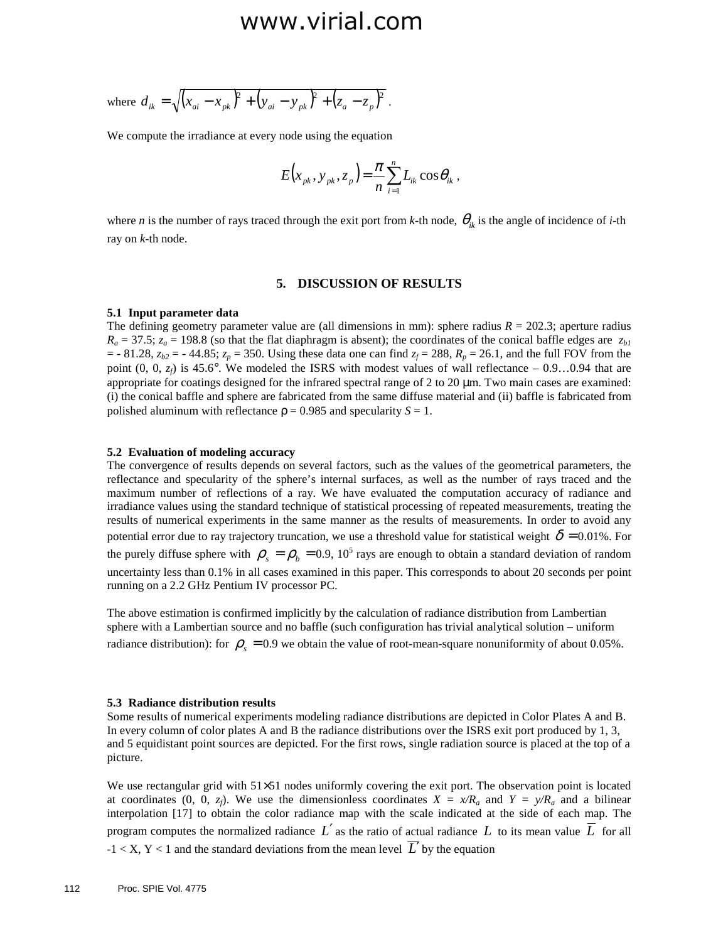where 
$$
d_{ik} = \sqrt{(x_{ai} - x_{pk})^2 + (y_{ai} - y_{pk})^2 + (z_a - z_p)^2}
$$
.

We compute the irradiance at every node using the equation

$$
E(x_{pk}, y_{pk}, z_p) = \frac{\pi}{n} \sum_{i=1}^n L_{ik} \cos \theta_{ik},
$$

where *n* is the number of rays traced through the exit port from *k*-th node,  $\theta_{ik}$  is the angle of incidence of *i*-th ray on *k*-th node.

#### **5. DISCUSSION OF RESULTS**

#### **5.1 Input parameter data**

The defining geometry parameter value are (all dimensions in mm): sphere radius  $R = 202.3$ ; aperture radius  $R_a = 37.5$ ;  $z_a = 198.8$  (so that the flat diaphragm is absent); the coordinates of the conical baffle edges are  $z_{b1}$  $=$  - 81.28,  $z_{b2}$  = - 44.85;  $z_p$  = 350. Using these data one can find  $z_f$  = 288,  $R_p$  = 26.1, and the full FOV from the point  $(0, 0, z_f)$  is 45.6°. We modeled the ISRS with modest values of wall reflectance – 0.9…0.94 that are appropriate for coatings designed for the infrared spectral range of 2 to 20  $\mu$ m. Two main cases are examined: (i) the conical baffle and sphere are fabricated from the same diffuse material and (ii) baffle is fabricated from polished aluminum with reflectance  $\rho = 0.985$  and specularity  $S = 1$ .

#### **5.2 Evaluation of modeling accuracy**

The convergence of results depends on several factors, such as the values of the geometrical parameters, the reflectance and specularity of the sphere's internal surfaces, as well as the number of rays traced and the maximum number of reflections of a ray. We have evaluated the computation accuracy of radiance and irradiance values using the standard technique of statistical processing of repeated measurements, treating the results of numerical experiments in the same manner as the results of measurements. In order to avoid any potential error due to ray trajectory truncation, we use a threshold value for statistical weight  $\delta = 0.01\%$ . For the purely diffuse sphere with  $\rho_s = \rho_b = 0.9$ , 10<sup>5</sup> rays are enough to obtain a standard deviation of random uncertainty less than 0.1% in all cases examined in this paper. This corresponds to about 20 seconds per point running on a 2.2 GHz Pentium IV processor PC.

The above estimation is confirmed implicitly by the calculation of radiance distribution from Lambertian sphere with a Lambertian source and no baffle (such configuration has trivial analytical solution – uniform radiance distribution): for  $\rho_s = 0.9$  we obtain the value of root-mean-square nonuniformity of about 0.05%.

#### **5.3 Radiance distribution results**

Some results of numerical experiments modeling radiance distributions are depicted in Color Plates A and B. In every column of color plates A and B the radiance distributions over the ISRS exit port produced by 1, 3, and 5 equidistant point sources are depicted. For the first rows, single radiation source is placed at the top of a picture.

We use rectangular grid with 51×51 nodes uniformly covering the exit port. The observation point is located at coordinates (0, 0, *z<sub>f</sub>*). We use the dimensionless coordinates  $X = x/R_a$  and  $Y = y/R_a$  and a bilinear interpolation [17] to obtain the color radiance map with the scale indicated at the side of each map. The program computes the normalized radiance  $L'$  as the ratio of actual radiance  $L$  to its mean value  $\overline{L}$  for all  $-1 < X, Y < 1$  and the standard deviations from the mean level  $\overrightarrow{L}$  by the equation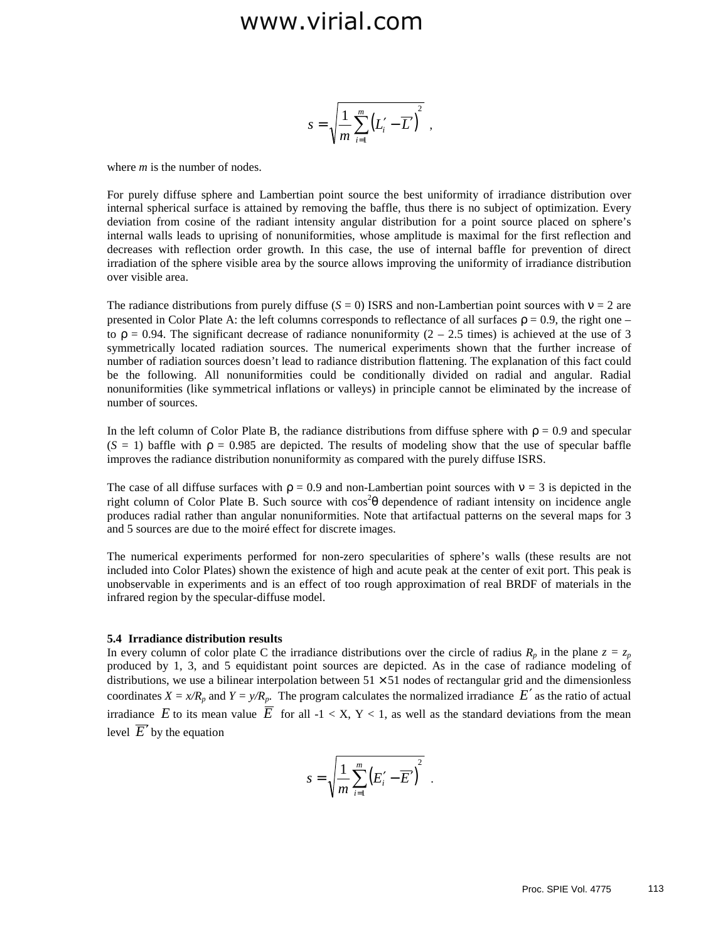$$
s = \sqrt{\frac{1}{m} \sum_{i=1}^{m} (L'_i - \overline{L}')^2},
$$

where *m* is the number of nodes.

For purely diffuse sphere and Lambertian point source the best uniformity of irradiance distribution over internal spherical surface is attained by removing the baffle, thus there is no subject of optimization. Every deviation from cosine of the radiant intensity angular distribution for a point source placed on sphere's internal walls leads to uprising of nonuniformities, whose amplitude is maximal for the first reflection and decreases with reflection order growth. In this case, the use of internal baffle for prevention of direct irradiation of the sphere visible area by the source allows improving the uniformity of irradiance distribution over visible area.

The radiance distributions from purely diffuse  $(S = 0)$  ISRS and non-Lambertian point sources with  $v = 2$  are presented in Color Plate A: the left columns corresponds to reflectance of all surfaces  $\rho = 0.9$ , the right one – to  $p = 0.94$ . The significant decrease of radiance nonuniformity  $(2 - 2.5$  times) is achieved at the use of 3 symmetrically located radiation sources. The numerical experiments shown that the further increase of number of radiation sources doesn't lead to radiance distribution flattening. The explanation of this fact could be the following. All nonuniformities could be conditionally divided on radial and angular. Radial nonuniformities (like symmetrical inflations or valleys) in principle cannot be eliminated by the increase of number of sources.

In the left column of Color Plate B, the radiance distributions from diffuse sphere with  $\rho = 0.9$  and specular  $(S = 1)$  baffle with  $\rho = 0.985$  are depicted. The results of modeling show that the use of specular baffle improves the radiance distribution nonuniformity as compared with the purely diffuse ISRS.

The case of all diffuse surfaces with  $\rho = 0.9$  and non-Lambertian point sources with  $v = 3$  is depicted in the right column of Color Plate B. Such source with  $\cos^2\theta$  dependence of radiant intensity on incidence angle produces radial rather than angular nonuniformities. Note that artifactual patterns on the several maps for 3 and 5 sources are due to the moiré effect for discrete images.

The numerical experiments performed for non-zero specularities of sphere's walls (these results are not included into Color Plates) shown the existence of high and acute peak at the center of exit port. This peak is unobservable in experiments and is an effect of too rough approximation of real BRDF of materials in the infrared region by the specular-diffuse model.

#### **5.4 Irradiance distribution results**

In every column of color plate C the irradiance distributions over the circle of radius  $R_p$  in the plane  $z=z_p$ produced by 1, 3, and 5 equidistant point sources are depicted. As in the case of radiance modeling of distributions, we use a bilinear interpolation between  $51 \times 51$  nodes of rectangular grid and the dimensionless coordinates  $X = x/R_p$  and  $Y = y/R_p$ . The program calculates the normalized irradiance  $E'$  as the ratio of actual irradiance E to its mean value  $\overline{E}$  for all  $-1 < X, Y < 1$ , as well as the standard deviations from the mean level  $\overline{E}'$  by the equation

$$
s = \sqrt{\frac{1}{m} \sum_{i=1}^{m} (E_i' - \overline{E}')^2} .
$$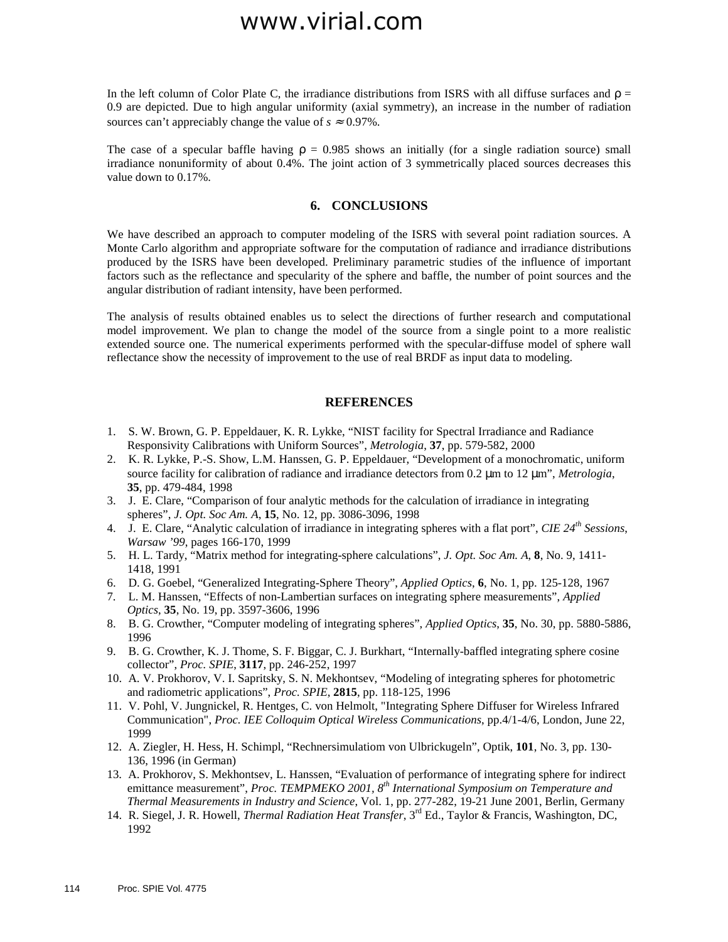In the left column of Color Plate C, the irradiance distributions from ISRS with all diffuse surfaces and  $\rho =$ 0.9 are depicted. Due to high angular uniformity (axial symmetry), an increase in the number of radiation sources can't appreciably change the value of  $s \approx 0.97\%$ .

The case of a specular baffle having  $\rho = 0.985$  shows an initially (for a single radiation source) small irradiance nonuniformity of about 0.4%. The joint action of 3 symmetrically placed sources decreases this value down to 0.17%.

### **6. CONCLUSIONS**

We have described an approach to computer modeling of the ISRS with several point radiation sources. A Monte Carlo algorithm and appropriate software for the computation of radiance and irradiance distributions produced by the ISRS have been developed. Preliminary parametric studies of the influence of important factors such as the reflectance and specularity of the sphere and baffle, the number of point sources and the angular distribution of radiant intensity, have been performed.

The analysis of results obtained enables us to select the directions of further research and computational model improvement. We plan to change the model of the source from a single point to a more realistic extended source one. The numerical experiments performed with the specular-diffuse model of sphere wall reflectance show the necessity of improvement to the use of real BRDF as input data to modeling.

### **REFERENCES**

- 1. S. W. Brown, G. P. Eppeldauer, K. R. Lykke, "NIST facility for Spectral Irradiance and Radiance Responsivity Calibrations with Uniform Sources", *Metrologia*, **37**, pp. 579-582, 2000
- 2. K. R. Lykke, P.-S. Show, L.M. Hanssen, G. P. Eppeldauer, "Development of a monochromatic, uniform source facility for calibration of radiance and irradiance detectors from 0.2 µm to 12 µm", *Metrologia*, **35**, pp. 479-484, 1998
- 3. J. E. Clare, "Comparison of four analytic methods for the calculation of irradiance in integrating spheres", *J. Opt. Soc Am. A*, **15**, No. 12, pp. 3086-3096, 1998
- 4. J. E. Clare, "Analytic calculation of irradiance in integrating spheres with a flat port", *CIE 24th Sessions*, *Warsaw '99*, pages 166-170, 1999
- 5. H. L. Tardy, "Matrix method for integrating-sphere calculations", *J. Opt. Soc Am. A*, **8**, No. 9, 1411- 1418, 1991
- 6. D. G. Goebel, "Generalized Integrating-Sphere Theory", *Applied Optics*, **6**, No. 1, pp. 125-128, 1967
- 7. L. M. Hanssen, "Effects of non-Lambertian surfaces on integrating sphere measurements", *Applied Optics*, **35**, No. 19, pp. 3597-3606, 1996
- 8. B. G. Crowther, "Computer modeling of integrating spheres", *Applied Optics*, **35**, No. 30, pp. 5880-5886, 1996
- 9. B. G. Crowther, K. J. Thome, S. F. Biggar, C. J. Burkhart, "Internally-baffled integrating sphere cosine collector", *Proc. SPIE*, **3117**, pp. 246-252, 1997
- 10. A. V. Prokhorov, V. I. Sapritsky, S. N. Mekhontsev, "Modeling of integrating spheres for photometric and radiometric applications", *Proc. SPIE*, **2815**, pp. 118-125, 1996
- 11. V. Pohl, V. Jungnickel, R. Hentges, C. von Helmolt, "Integrating Sphere Diffuser for Wireless Infrared Communication", *Proc. IEE Colloquim Optical Wireless Communications*, pp.4/1-4/6, London, June 22, 1999
- 12. A. Ziegler, H. Hess, H. Schimpl, "Rechnersimulatiom von Ulbrickugeln", Optik, **101**, No. 3, pp. 130- 136, 1996 (in German)
- 13. A. Prokhorov, S. Mekhontsev, L. Hanssen, "Evaluation of performance of integrating sphere for indirect emittance measurement", *Proc. TEMPMEKO 2001, 8th International Symposium on Temperature and Thermal Measurements in Industry and Science*, Vol. 1, pp. 277-282, 19-21 June 2001, Berlin, Germany
- 14. R. Siegel, J. R. Howell, *Thermal Radiation Heat Transfer*, 3rd Ed., Taylor & Francis, Washington, DC, 1992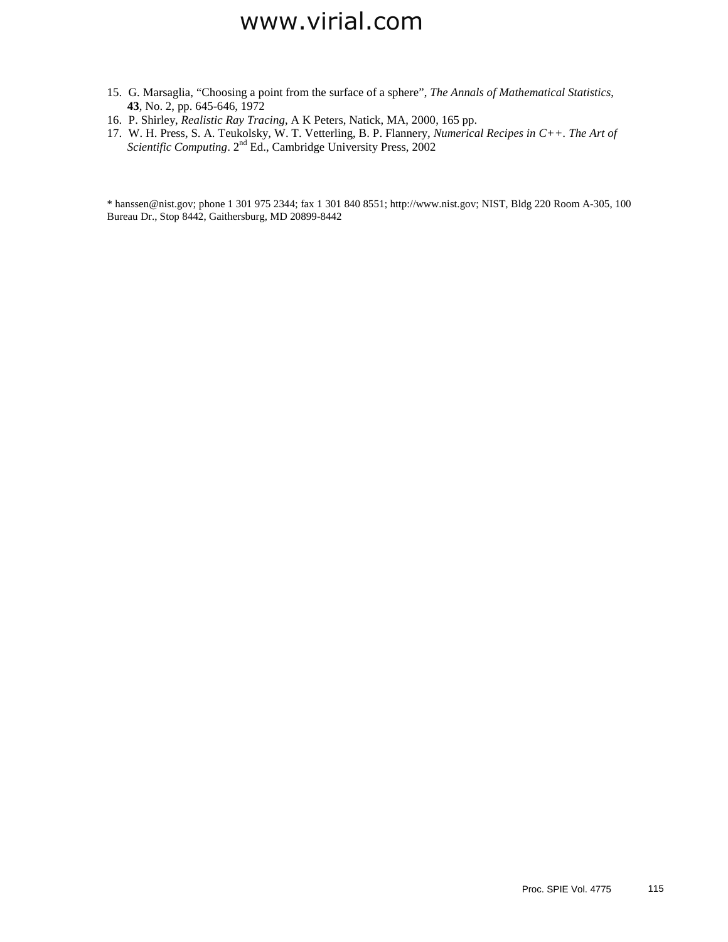- 15. G. Marsaglia, "Choosing a point from the surface of a sphere", *The Annals of Mathematical Statistics*, **43**, No. 2, pp. 645-646, 1972
- 16. P. Shirley, *Realistic Ray Tracing*, A K Peters, Natick, MA, 2000, 165 pp.
- 17. W. H. Press, S. A. Teukolsky, W. T. Vetterling, B. P. Flannery, *Numerical Recipes in C++. The Art of Scientific Computing*. 2nd Ed., Cambridge University Press, 2002

\* hanssen@nist.gov; phone 1 301 975 2344; fax 1 301 840 8551; http://www.nist.gov; NIST, Bldg 220 Room A-305, 100 Bureau Dr., Stop 8442, Gaithersburg, MD 20899-8442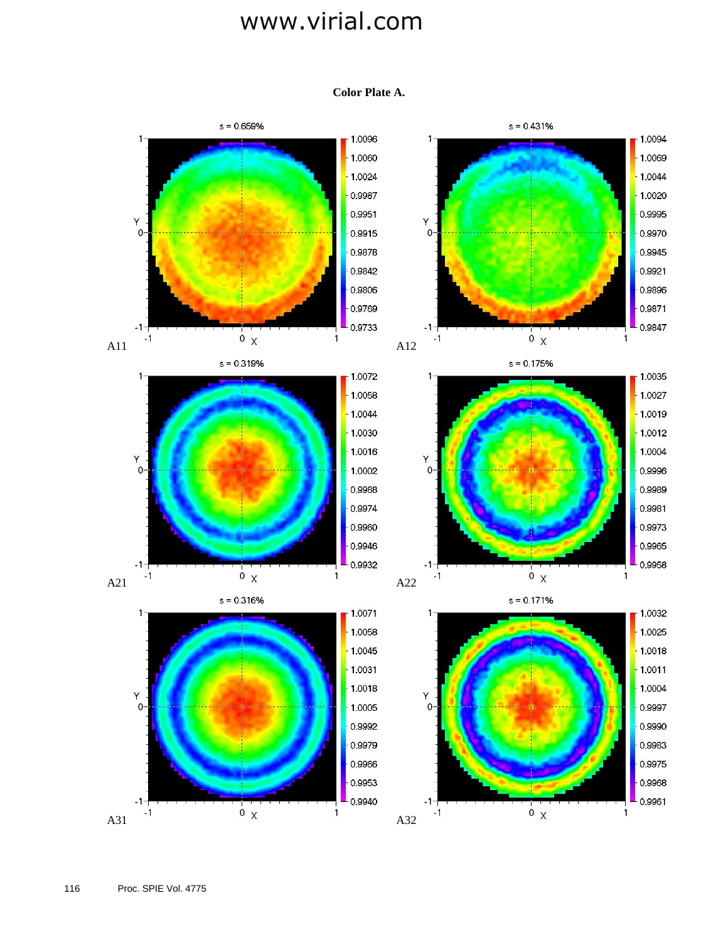### **Color Plate A.**

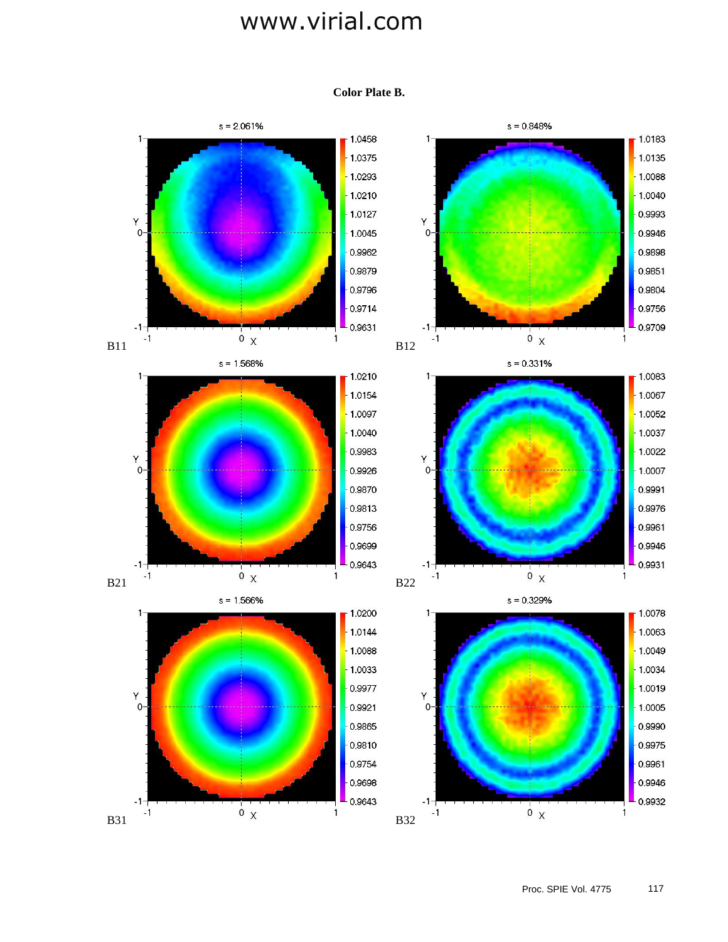### **Color Plate B.**